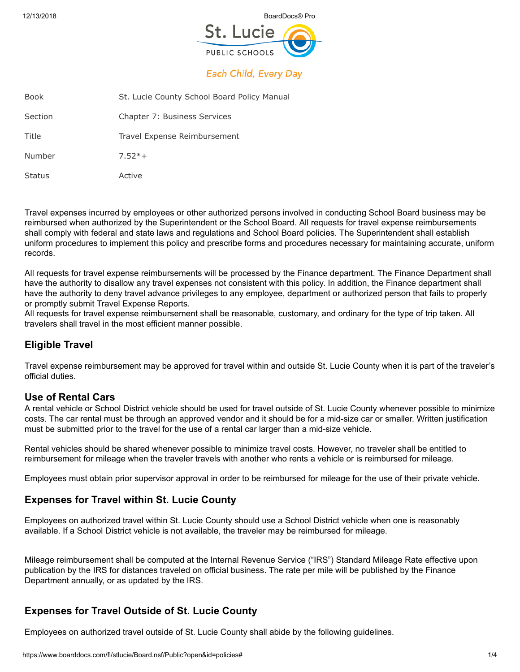12/13/2018 BoardDocs® Pro



# **Each Child, Every Day**

| <b>Book</b>   | St. Lucie County School Board Policy Manual |
|---------------|---------------------------------------------|
| Section       | Chapter 7: Business Services                |
| Title         | Travel Expense Reimbursement                |
| Number        | $7.52*+$                                    |
| <b>Status</b> | Active                                      |

Travel expenses incurred by employees or other authorized persons involved in conducting School Board business may be reimbursed when authorized by the Superintendent or the School Board. All requests for travel expense reimbursements shall comply with federal and state laws and regulations and School Board policies. The Superintendent shall establish uniform procedures to implement this policy and prescribe forms and procedures necessary for maintaining accurate, uniform records.

All requests for travel expense reimbursements will be processed by the Finance department. The Finance Department shall have the authority to disallow any travel expenses not consistent with this policy. In addition, the Finance department shall have the authority to deny travel advance privileges to any employee, department or authorized person that fails to properly or promptly submit Travel Expense Reports.

All requests for travel expense reimbursement shall be reasonable, customary, and ordinary for the type of trip taken. All travelers shall travel in the most efficient manner possible.

# **Eligible Travel**

Travel expense reimbursement may be approved for travel within and outside St. Lucie County when it is part of the traveler's official duties.

# **Use of Rental Cars**

A rental vehicle or School District vehicle should be used for travel outside of St. Lucie County whenever possible to minimize costs. The car rental must be through an approved vendor and it should be for a mid-size car or smaller. Written justification must be submitted prior to the travel for the use of a rental car larger than a mid-size vehicle.

Rental vehicles should be shared whenever possible to minimize travel costs. However, no traveler shall be entitled to reimbursement for mileage when the traveler travels with another who rents a vehicle or is reimbursed for mileage.

Employees must obtain prior supervisor approval in order to be reimbursed for mileage for the use of their private vehicle.

# **Expenses for Travel within St. Lucie County**

Employees on authorized travel within St. Lucie County should use a School District vehicle when one is reasonably available. If a School District vehicle is not available, the traveler may be reimbursed for mileage.

Mileage reimbursement shall be computed at the Internal Revenue Service ("IRS") Standard Mileage Rate effective upon publication by the IRS for distances traveled on official business. The rate per mile will be published by the Finance Department annually, or as updated by the IRS.

# **Expenses for Travel Outside of St. Lucie County**

Employees on authorized travel outside of St. Lucie County shall abide by the following guidelines.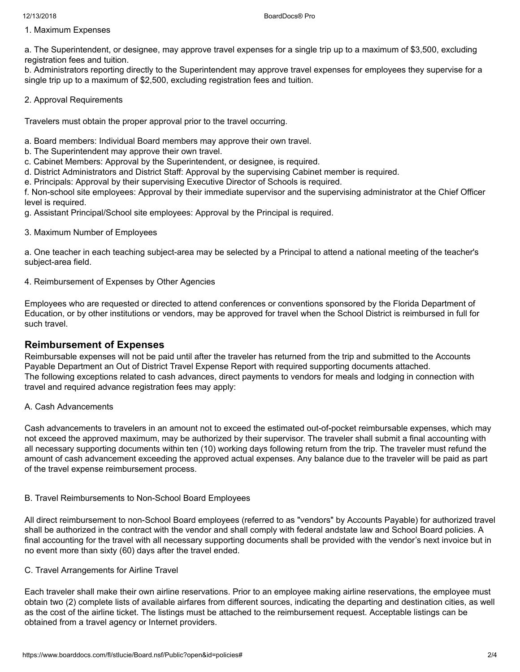1. Maximum Expenses

a. The Superintendent, or designee, may approve travel expenses for a single trip up to a maximum of \$3,500, excluding registration fees and tuition.

b. Administrators reporting directly to the Superintendent may approve travel expenses for employees they supervise for a single trip up to a maximum of \$2,500, excluding registration fees and tuition.

### 2. Approval Requirements

Travelers must obtain the proper approval prior to the travel occurring.

a. Board members: Individual Board members may approve their own travel.

- b. The Superintendent may approve their own travel.
- c. Cabinet Members: Approval by the Superintendent, or designee, is required.
- d. District Administrators and District Staff: Approval by the supervising Cabinet member is required.
- e. Principals: Approval by their supervising Executive Director of Schools is required.

f. Non-school site employees: Approval by their immediate supervisor and the supervising administrator at the Chief Officer level is required.

g. Assistant Principal/School site employees: Approval by the Principal is required.

3. Maximum Number of Employees

a. One teacher in each teaching subject-area may be selected by a Principal to attend a national meeting of the teacher's subject-area field.

4. Reimbursement of Expenses by Other Agencies

Employees who are requested or directed to attend conferences or conventions sponsored by the Florida Department of Education, or by other institutions or vendors, may be approved for travel when the School District is reimbursed in full for such travel.

# **Reimbursement of Expenses**

Reimbursable expenses will not be paid until after the traveler has returned from the trip and submitted to the Accounts Payable Department an Out of District Travel Expense Report with required supporting documents attached. The following exceptions related to cash advances, direct payments to vendors for meals and lodging in connection with travel and required advance registration fees may apply:

#### A. Cash Advancements

Cash advancements to travelers in an amount not to exceed the estimated out-of-pocket reimbursable expenses, which may not exceed the approved maximum, may be authorized by their supervisor. The traveler shall submit a final accounting with all necessary supporting documents within ten (10) working days following return from the trip. The traveler must refund the amount of cash advancement exceeding the approved actual expenses. Any balance due to the traveler will be paid as part of the travel expense reimbursement process.

#### B. Travel Reimbursements to Non-School Board Employees

All direct reimbursement to non-School Board employees (referred to as "vendors" by Accounts Payable) for authorized travel shall be authorized in the contract with the vendor and shall comply with federal andstate law and School Board policies. A final accounting for the travel with all necessary supporting documents shall be provided with the vendor's next invoice but in no event more than sixty (60) days after the travel ended.

#### C. Travel Arrangements for Airline Travel

Each traveler shall make their own airline reservations. Prior to an employee making airline reservations, the employee must obtain two (2) complete lists of available airfares from different sources, indicating the departing and destination cities, as well as the cost of the airline ticket. The listings must be attached to the reimbursement request. Acceptable listings can be obtained from a travel agency or Internet providers.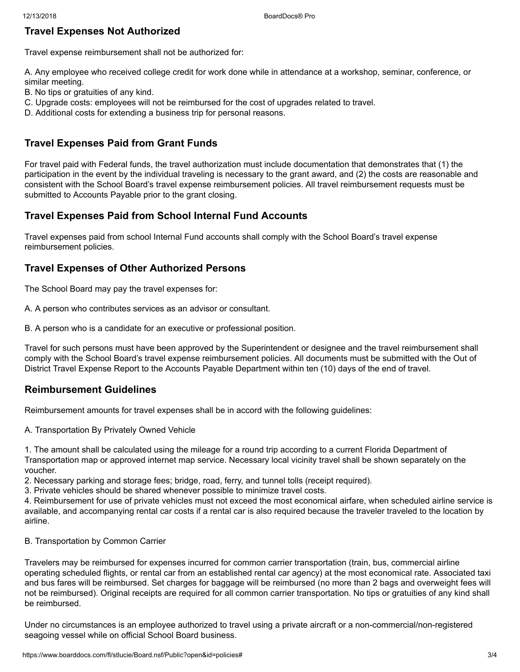# **Travel Expenses Not Authorized**

Travel expense reimbursement shall not be authorized for:

A. Any employee who received college credit for work done while in attendance at a workshop, seminar, conference, or similar meeting.

- B. No tips or gratuities of any kind.
- C. Upgrade costs: employees will not be reimbursed for the cost of upgrades related to travel.
- D. Additional costs for extending a business trip for personal reasons.

# **Travel Expenses Paid from Grant Funds**

For travel paid with Federal funds, the travel authorization must include documentation that demonstrates that (1) the participation in the event by the individual traveling is necessary to the grant award, and (2) the costs are reasonable and consistent with the School Board's travel expense reimbursement policies. All travel reimbursement requests must be submitted to Accounts Payable prior to the grant closing.

# **Travel Expenses Paid from School Internal Fund Accounts**

Travel expenses paid from school Internal Fund accounts shall comply with the School Board's travel expense reimbursement policies.

# **Travel Expenses of Other Authorized Persons**

The School Board may pay the travel expenses for:

A. A person who contributes services as an advisor or consultant.

B. A person who is a candidate for an executive or professional position.

Travel for such persons must have been approved by the Superintendent or designee and the travel reimbursement shall comply with the School Board's travel expense reimbursement policies. All documents must be submitted with the Out of District Travel Expense Report to the Accounts Payable Department within ten (10) days of the end of travel.

## **Reimbursement Guidelines**

Reimbursement amounts for travel expenses shall be in accord with the following guidelines:

A. Transportation By Privately Owned Vehicle

1. The amount shall be calculated using the mileage for a round trip according to a current Florida Department of Transportation map or approved internet map service. Necessary local vicinity travel shall be shown separately on the voucher.

2. Necessary parking and storage fees; bridge, road, ferry, and tunnel tolls (receipt required).

3. Private vehicles should be shared whenever possible to minimize travel costs.

4. Reimbursement for use of private vehicles must not exceed the most economical airfare, when scheduled airline service is available, and accompanying rental car costs if a rental car is also required because the traveler traveled to the location by airline.

#### B. Transportation by Common Carrier

Travelers may be reimbursed for expenses incurred for common carrier transportation (train, bus, commercial airline operating scheduled flights, or rental car from an established rental car agency) at the most economical rate. Associated taxi and bus fares will be reimbursed. Set charges for baggage will be reimbursed (no more than 2 bags and overweight fees will not be reimbursed). Original receipts are required for all common carrier transportation. No tips or gratuities of any kind shall be reimbursed.

Under no circumstances is an employee authorized to travel using a private aircraft or a non-commercial/non-registered seagoing vessel while on official School Board business.